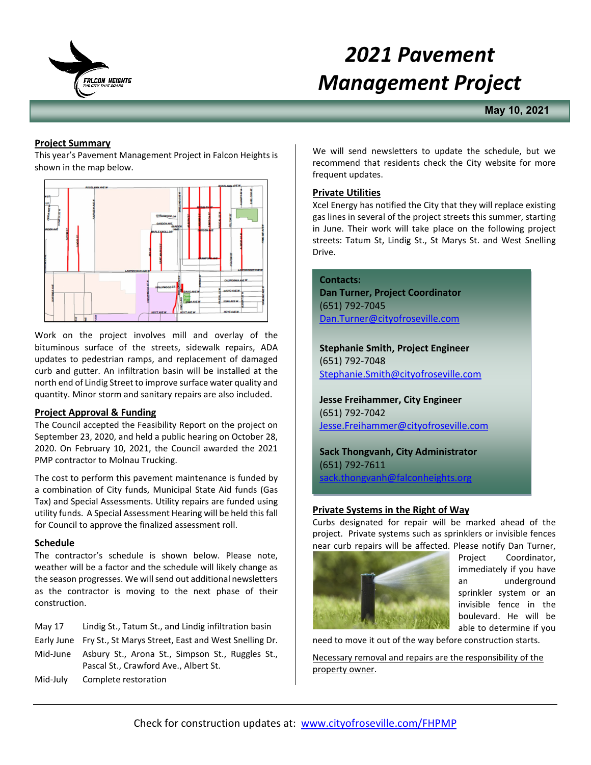

# *2021 Pavement Management Project*

**May 10, 2021**

# **Project Summary**

This year's Pavement Management Project in Falcon Heights is shown in the map below.



Work on the project involves mill and overlay of the bituminous surface of the streets, sidewalk repairs, ADA updates to pedestrian ramps, and replacement of damaged curb and gutter. An infiltration basin will be installed at the north end of Lindig Street to improve surface water quality and quantity. Minor storm and sanitary repairs are also included.

# **Project Approval & Funding**

The Council accepted the Feasibility Report on the project on September 23, 2020, and held a public hearing on October 28, 2020. On February 10, 2021, the Council awarded the 2021 PMP contractor to Molnau Trucking.

The cost to perform this pavement maintenance is funded by a combination of City funds, Municipal State Aid funds (Gas Tax) and Special Assessments. Utility repairs are funded using utility funds. A Special Assessment Hearing will be held this fall for Council to approve the finalized assessment roll.

# **Schedule**

The contractor's schedule is shown below. Please note, weather will be a factor and the schedule will likely change as the season progresses. We will send out additional newsletters as the contractor is moving to the next phase of their construction.

| May 17   | Lindig St., Tatum St., and Lindig infiltration basin                                               |
|----------|----------------------------------------------------------------------------------------------------|
|          | Early June Fry St., St Marys Street, East and West Snelling Dr.                                    |
|          | Mid-June Asbury St., Arona St., Simpson St., Ruggles St.,<br>Pascal St., Crawford Ave., Albert St. |
| Mid-July | Complete restoration                                                                               |

We will send newsletters to update the schedule, but we recommend that residents check the City website for more frequent updates.

### **Private Utilities**

Xcel Energy has notified the City that they will replace existing gas lines in several of the project streets this summer, starting in June. Their work will take place on the following project streets: Tatum St, Lindig St., St Marys St. and West Snelling Drive.

#### **Contacts:**

**Dan Turner, Project Coordinator** (651) 792-7045 [Dan.Turner@cityofroseville.com](mailto:Dan.Turner@cityofroseville.com)

**Stephanie Smith, Project Engineer** (651) 792-7048 [Stephanie.Smith@cityofroseville.com](mailto:Stephanie.Smith@cityofroseville.com)

**Jesse Freihammer, City Engineer** (651) 792-7042 [Jesse.Freihammer@cityofroseville.com](mailto:Jesse.Freihammer@cityofroseville.com)

**Sack Thongvanh, City Administrator** (651) 792-7611 ack.thongvanh@falconheights.org

# **Private Systems in the Right of Way**

Curbs designated for repair will be marked ahead of the project. Private systems such as sprinklers or invisible fences near curb repairs will be affected. Please notify Dan Turner,



Project Coordinator, immediately if you have an underground sprinkler system or an invisible fence in the boulevard. He will be able to determine if you

need to move it out of the way before construction starts.

Necessary removal and repairs are the responsibility of the property owner.